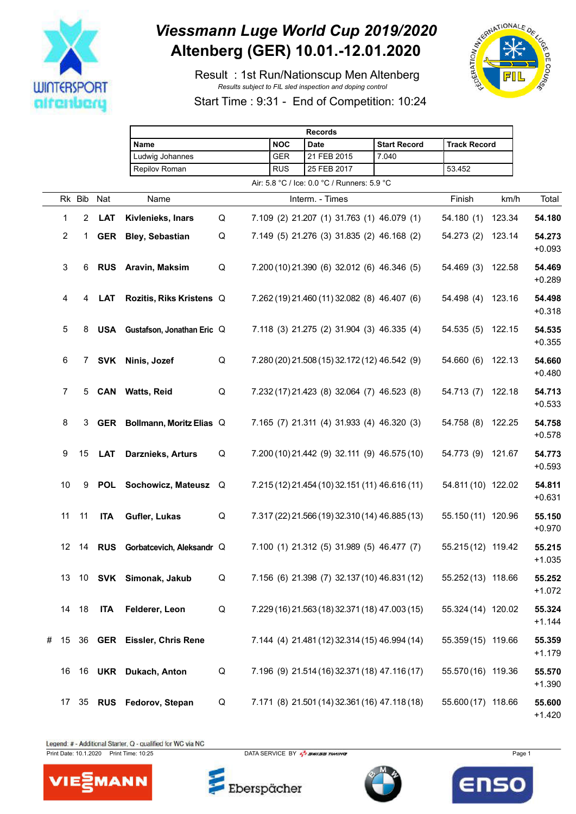

## *Viessmann Luge World Cup 2019/2020* **Altenberg (GER) 10.01.-12.01.2020**

 Result : 1st Run/Nationscup Men Altenberg *Results subject to FIL sled inspection and doping control*



Start Time : 9:31 - End of Competition: 10:24

|   |                  |                  |            | <b>Records</b>                 |   |  |            |                                                |                     |                     |        |                    |
|---|------------------|------------------|------------|--------------------------------|---|--|------------|------------------------------------------------|---------------------|---------------------|--------|--------------------|
|   |                  |                  |            | Name                           |   |  | <b>NOC</b> | <b>Date</b>                                    | <b>Start Record</b> | <b>Track Record</b> |        |                    |
|   |                  |                  |            | Ludwig Johannes                |   |  | <b>GER</b> | 21 FEB 2015                                    | 7.040               |                     |        |                    |
|   |                  |                  |            | Repilov Roman                  |   |  | <b>RUS</b> | 25 FEB 2017                                    |                     | 53.452              |        |                    |
|   |                  |                  |            |                                |   |  |            | Air: 5.8 °C / Ice: 0.0 °C / Runners: 5.9 °C    |                     |                     |        |                    |
|   |                  | Rk Bib           | Nat        | Name                           |   |  |            | Interm. - Times                                |                     | Finish              | km/h   | Total              |
|   | $\mathbf{1}$     | 2                | <b>LAT</b> | Kivlenieks, Inars              | Q |  |            | 7.109 (2) 21.207 (1) 31.763 (1) 46.079 (1)     |                     | 54.180(1)           | 123.34 | 54.180             |
|   | $\overline{c}$   | 1.               |            | <b>GER</b> Bley, Sebastian     | Q |  |            | 7.149 (5) 21.276 (3) 31.835 (2) 46.168 (2)     |                     | 54.273 (2)          | 123.14 | 54.273<br>$+0.093$ |
|   | 3                | 6                |            | RUS Aravin, Maksim             | Q |  |            | 7.200 (10) 21.390 (6) 32.012 (6) 46.346 (5)    |                     | 54.469 (3)          | 122.58 | 54.469<br>$+0.289$ |
|   | 4                | 4                | <b>LAT</b> | Rozitis, Riks Kristens Q       |   |  |            | 7.262 (19) 21.460 (11) 32.082 (8) 46.407 (6)   |                     | 54.498 (4)          | 123.16 | 54.498<br>$+0.318$ |
|   | $\overline{5}$   | 8                |            | USA Gustafson, Jonathan Eric Q |   |  |            | 7.118 (3) 21.275 (2) 31.904 (3) 46.335 (4)     |                     | 54.535(5)           | 122.15 | 54.535<br>$+0.355$ |
|   | 6                | 7 <sup>7</sup>   | SVK        | Ninis, Jozef                   | Q |  |            | 7.280 (20) 21.508 (15) 32.172 (12) 46.542 (9)  |                     | 54.660 (6)          | 122.13 | 54.660<br>$+0.480$ |
|   | $\overline{7}$   | 5                |            | <b>CAN</b> Watts, Reid         | Q |  |            | 7.232 (17) 21.423 (8) 32.064 (7) 46.523 (8)    |                     | 54.713 (7)          | 122.18 | 54.713<br>$+0.533$ |
|   | 8                | 3                |            | GER Bollmann, Moritz Elias Q   |   |  |            | 7.165 (7) 21.311 (4) 31.933 (4) 46.320 (3)     |                     | 54.758 (8)          | 122.25 | 54.758<br>$+0.578$ |
|   | 9                | 15 <sup>15</sup> | <b>LAT</b> | Darznieks, Arturs              | Q |  |            | 7.200 (10) 21.442 (9) 32.111 (9) 46.575 (10)   |                     | 54.773 (9)          | 121.67 | 54.773<br>$+0.593$ |
|   | 10               | 9                | POL        | Sochowicz, Mateusz Q           |   |  |            | 7.215 (12) 21.454 (10) 32.151 (11) 46.616 (11) |                     | 54.811 (10) 122.02  |        | 54.811<br>$+0.631$ |
|   | 11               | 11               | <b>ITA</b> | Gufler, Lukas                  | Q |  |            | 7.317 (22) 21.566 (19) 32.310 (14) 46.885 (13) |                     | 55.150 (11) 120.96  |        | 55.150<br>$+0.970$ |
|   | 12 <sup>12</sup> | 14               | <b>RUS</b> | Gorbatcevich, Aleksandr Q      |   |  |            | 7.100 (1) 21.312 (5) 31.989 (5) 46.477 (7)     |                     | 55.215 (12) 119.42  |        | 55.215<br>$+1.035$ |
|   |                  |                  |            | 13 10 SVK Simonak, Jakub       | Q |  |            | 7.156 (6) 21.398 (7) 32.137 (10) 46.831 (12)   |                     | 55.252 (13) 118.66  |        | 55.252<br>$+1.072$ |
|   |                  | 14 18            | <b>ITA</b> | Felderer, Leon                 | Q |  |            | 7.229 (16) 21.563 (18) 32.371 (18) 47.003 (15) |                     | 55.324 (14) 120.02  |        | 55.324<br>$+1.144$ |
| # | 15               |                  |            | 36 GER Eissler, Chris Rene     |   |  |            | 7.144 (4) 21.481 (12) 32.314 (15) 46.994 (14)  |                     | 55.359 (15) 119.66  |        | 55.359<br>$+1.179$ |
|   | 16               |                  |            | 16 UKR Dukach, Anton           | Q |  |            | 7.196 (9) 21.514 (16) 32.371 (18) 47.116 (17)  |                     | 55.570 (16) 119.36  |        | 55.570<br>$+1.390$ |
|   | 17               |                  |            | 35 RUS Fedorov, Stepan         | Q |  |            | 7.171 (8) 21.501 (14) 32.361 (16) 47.118 (18)  |                     | 55.600 (17) 118.66  |        | 55.600<br>$+1.420$ |

Legend: # - Additional Starter, Q - qualified for WC via NC

MANN

VIE



Eberspächer